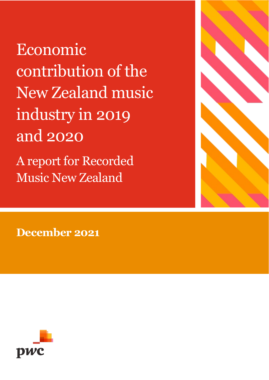Economic contribution of the New Zealand music industry in 2019 and 2020 A report for Recorded Music New Zealand



**December 2021**

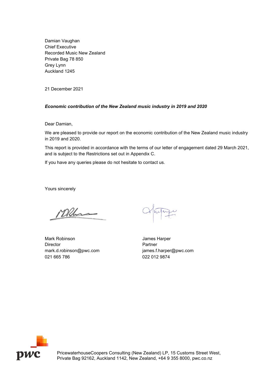Damian Vaughan Chief Executive Recorded Music New Zealand Private Bag 78 850 Grey Lynn Auckland 1245

21 December 2021

#### *Economic contribution of the New Zealand music industry in 2019 and 2020*

Dear Damian,

We are pleased to provide our report on the economic contribution of the New Zealand music industry in 2019 and 2020.

This report is provided in accordance with the terms of our letter of engagement dated 29 March 2021, and is subject to the Restrictions set out in Appendix C.

If you have any queries please do not hesitate to contact us.

Yours sincerely

Mlhas

Mark Robinson **Mark Robinson** James Harper Director **Partner** mark.d.robinson@pwc.com james.f.harper@pwc.com 021 665 786 022 012 9874



PricewaterhouseCoopers Consulting (New Zealand) LP, 15 Customs Street West, Private Bag 92162, Auckland 1142, New Zealand, +64 9 355 8000, pwc.co.nz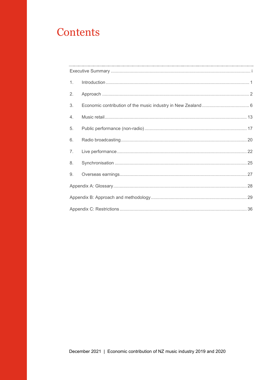# Contents

| 1. |  |  |  |  |  |  |  |
|----|--|--|--|--|--|--|--|
| 2. |  |  |  |  |  |  |  |
| 3. |  |  |  |  |  |  |  |
| 4. |  |  |  |  |  |  |  |
| 5. |  |  |  |  |  |  |  |
| 6. |  |  |  |  |  |  |  |
| 7. |  |  |  |  |  |  |  |
| 8. |  |  |  |  |  |  |  |
| 9. |  |  |  |  |  |  |  |
|    |  |  |  |  |  |  |  |
|    |  |  |  |  |  |  |  |
|    |  |  |  |  |  |  |  |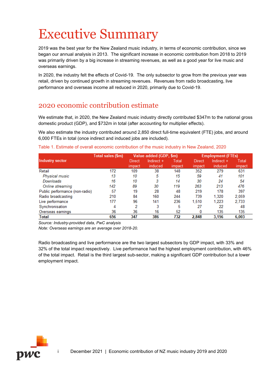# <span id="page-3-0"></span>Executive Summary

2019 was the best year for the New Zealand music industry, in terms of economic contribution, since we began our annual analysis in 2013. The significant increase in economic contribution from 2018 to 2019 was primarily driven by a big increase in streaming revenues, as well as a good year for live music and overseas earnings.

In 2020, the industry felt the effects of Covid-19. The only subsector to grow from the previous year was retail, driven by continued growth in streaming revenues. Revenues from radio broadcasting, live performance and overseas income all reduced in 2020, primarily due to Covid-19.

### 2020 economic contribution estimate

We estimate that, in 2020, the New Zealand music industry directly contributed \$347m to the national gross domestic product (GDP), and \$732m in total (after accounting for multiplier effects).

We also estimate the industry contributed around 2,850 direct full-time equivalent (FTE) jobs, and around 6,000 FTEs in total (once indirect and induced jobs are included).

Table 1. Estimate of overall economic contribution of the music industry in New Zealand, 2020

|                                | Total sales (\$m) |        | Value added (GDP, \$m) |        | <b>Employment (FTEs)</b> |            |        |  |
|--------------------------------|-------------------|--------|------------------------|--------|--------------------------|------------|--------|--|
| <b>Industry sector</b>         |                   | Direct | Indirect +             | Total  | Direct                   | Indirect + | Total  |  |
|                                |                   | impact | induced                | impact | impact                   | induced    | impact |  |
| Retail                         | 172               | 109    | 38                     | 148    | 352                      | 279        | 631    |  |
| Physical music                 | 13                | 10     | 5                      | 15     | 59                       | 41         | 101    |  |
| Downloads                      | 16                | 10     | 3                      | 14     | 30                       | 24         | 54     |  |
| Online streaming               | 142               | 89     | 30                     | 119    | 263                      | 213        | 476    |  |
| Public performance (non-radio) | 57                | 19     | 28                     | 48     | 219                      | 178        | 397    |  |
| Radio broadcasting             | 210               | 84     | 160                    | 244    | 739                      | 1,320      | 2,059  |  |
| Live performance               | 177               | 96     | 141                    | 236    | 1.510                    | 1,223      | 2,733  |  |
| Synchronisation                | 4                 | 2      | 3                      | 5      | 27                       | 22         | 48     |  |
| Overseas earnings              | 36                | 36     | 16                     | 52     | 0                        | 135        | 135    |  |
| Total                          | 656               | 347    | 386                    | 732    | 2.848                    | 3,156      | 6,003  |  |

*Source: Industry-provided data, PwC analysis*

*Note: Overseas earnings are an average over 2018-20.*

Radio broadcasting and live performance are the two largest subsectors by GDP impact, with 33% and 32% of the total impact respectively. Live performance had the highest employment contribution, with 46% of the total impact. Retail is the third largest sub-sector, making a significant GDP contribution but a lower employment impact.

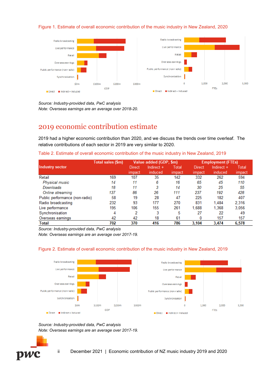#### Figure 1. Estimate of overall economic contribution of the music industry in New Zealand, 2020



*Source: Industry-provided data, PwC analysis Note: Overseas earnings are an average over 2018-20.*

### 2019 economic contribution estimate

2019 had a higher economic contribution than 2020, and we discuss the trends over time overleaf. The relative contributions of each sector in 2019 are very similar to 2020.

|  | Table 2. Estimate of overall economic contribution of the music industry in New Zealand, 2019 |  |
|--|-----------------------------------------------------------------------------------------------|--|
|  |                                                                                               |  |

|                                | Total sales (\$m) |        | Value added (GDP, \$m) |        | <b>Employment (FTEs)</b> |            |        |
|--------------------------------|-------------------|--------|------------------------|--------|--------------------------|------------|--------|
| Industry sector                |                   | Direct | Indirect +             | Total  | Direct                   | Indirect + | Total  |
|                                |                   | impact | induced                | impact | impact                   | induced    | impact |
| Retail                         | 169               | 107    | 35                     | 142    | 332                      | 262        | 594    |
| Physical music                 | 14                | 11     | 6                      | 16     | 65                       | 45         | 110    |
| Downloads                      | 18                | 11     | 3                      | 14     | 30                       | 25         | 55     |
| Online streaming               | 137               | 86     | 26                     | 111    | 237                      | 192        | 428    |
| Public performance (non-radio) | 58                | 19     | 28                     | 47     | 225                      | 182        | 407    |
| Radio broadcasting             | 232               | 93     | 177                    | 270    | 831                      | 1.484      | 2,316  |
| Live performance               | 195               | 106    | 155                    | 261    | 1,688                    | 1,368      | 3,056  |
| Synchronisation                | 4                 | 2      | 3                      | 5      | 27                       | 22         | 49     |
| Overseas earnings              | 42                | 42     | 18                     | 61     |                          | 157        | 157    |
| Total                          | 702               | 370    | 416                    | 786    | 3.104                    | 3.474      | 6.578  |

*Source: Industry-provided data, PwC analysis*

*Note: Overseas earnings are an average over 2017-19.*



#### Figure 2. Estimate of overall economic contribution of the music industry in New Zealand, 2019



*Source: Industry-provided data, PwC analysis Note: Overseas earnings are an average over 2017-19.*

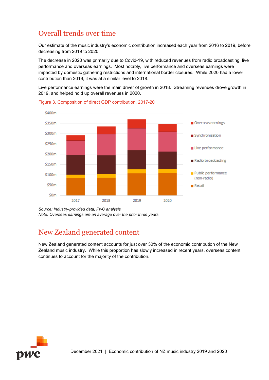## Overall trends over time

Our estimate of the music industry's economic contribution increased each year from 2016 to 2019, before decreasing from 2019 to 2020.

The decrease in 2020 was primarily due to Covid-19, with reduced revenues from radio broadcasting, live performance and overseas earnings. Most notably, live performance and overseas earnings were impacted by domestic gathering restrictions and international border closures. While 2020 had a lower contribution than 2019, it was at a similar level to 2018.

Live performance earnings were the main driver of growth in 2018. Streaming revenues drove growth in 2019, and helped hold up overall revenues in 2020.



Figure 3. Composition of direct GDP contribution, 2017-20

## New Zealand generated content

New Zealand generated content accounts for just over 30% of the economic contribution of the New Zealand music industry. While this proportion has slowly increased in recent years, overseas content continues to account for the majority of the contribution.



*Source: Industry-provided data, PwC analysis Note: Overseas earnings are an average over the prior three years.*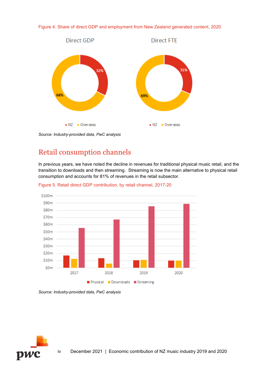



*Source: Industry-provided data, PwC analysis*

## Retail consumption channels

In previous years, we have noted the decline in revenues for traditional physical music retail, and the transition to downloads and then streaming. Streaming is now the main alternative to physical retail consumption and accounts for 81% of revenues in the retail subsector.



Figure 5. Retail direct GDP contribution, by retail channel, 2017-20

*Source: Industry-provided data, PwC analysis*

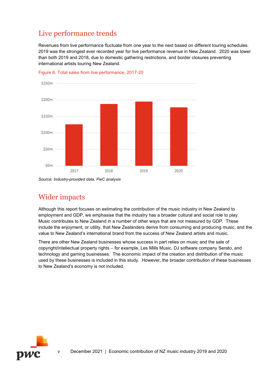## Live performance trends

Revenues from live performance fluctuate from one year to the next based on different touring schedules. 2019 was the strongest ever recorded year for live performance revenue in New Zealand. 2020 was lower than both 2019 and 2018, due to domestic gathering restrictions, and border closures preventing international artists touring New Zealand.



Figure 6. Total sales from live performance, 2017-20

*Source: Industry-provided data, PwC analysis*

## Wider impacts

Although this report focuses on estimating the contribution of the music industry in New Zealand to employment and GDP, we emphasise that the industry has a broader cultural and social role to play. Music contributes to New Zealand in a number of other ways that are not measured by GDP. These include the enjoyment, or utility, that New Zealanders derive from consuming and producing music, and the value to New Zealand's international brand from the success of New Zealand artists and music.

There are other New Zealand businesses whose success in part relies on music and the sale of copyright/intellectual property rights – for example, Les Mills Music, DJ software company Serato, and technology and gaming businesses. The economic impact of the creation and distribution of the music used by these businesses is included in this study. However, the broader contribution of these businesses to New Zealand's economy is not included.

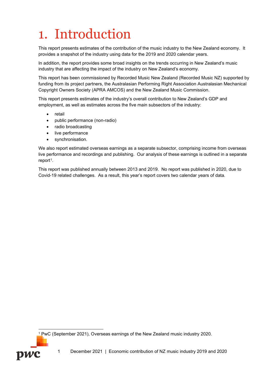# <span id="page-8-0"></span>1. Introduction

This report presents estimates of the contribution of the music industry to the New Zealand economy. It provides a snapshot of the industry using data for the 2019 and 2020 calendar years.

In addition, the report provides some broad insights on the trends occurring in New Zealand's music industry that are affecting the impact of the industry on New Zealand's economy.

This report has been commissioned by Recorded Music New Zealand (Recorded Music NZ) supported by funding from its project partners, the Australasian Performing Right Association Australasian Mechanical Copyright Owners Society (APRA AMCOS) and the New Zealand Music Commission.

This report presents estimates of the industry's overall contribution to New Zealand's GDP and employment, as well as estimates across the five main subsectors of the industry:

- retail
- public performance (non-radio)
- radio broadcasting
- live performance
- synchronisation.

We also report estimated overseas earnings as a separate subsector, comprising income from overseas live performance and recordings and publishing. Our analysis of these earnings is outlined in a separate report<sup>[1](#page-8-1)</sup>.

This report was published annually between 2013 and 2019. No report was published in 2020, due to Covid-19 related challenges. As a result, this year's report covers two calendar years of data.



<span id="page-8-1"></span>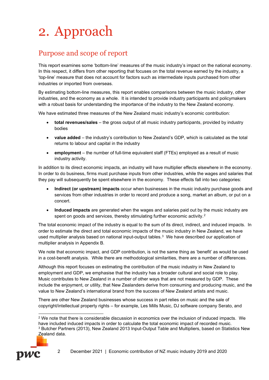# <span id="page-9-0"></span>2. Approach

## Purpose and scope of report

This report examines some 'bottom-line' measures of the music industry's impact on the national economy. In this respect, it differs from other reporting that focuses on the total revenue earned by the industry, a 'top-line' measure that does not account for factors such as intermediate inputs purchased from other industries or imported from overseas.

By estimating bottom-line measures, this report enables comparisons between the music industry, other industries, and the economy as a whole. It is intended to provide industry participants and policymakers with a robust basis for understanding the importance of the industry to the New Zealand economy.

We have estimated three measures of the New Zealand music industry's economic contribution:

- **total revenues/sales** the gross output of all music industry participants, provided by industry bodies
- **value added** the industry's contribution to New Zealand's GDP, which is calculated as the total returns to labour and capital in the industry
- **employment** the number of full-time equivalent staff (FTEs) employed as a result of music industry activity.

In addition to its direct economic impacts, an industry will have multiplier effects elsewhere in the economy. In order to do business, firms must purchase inputs from other industries, while the wages and salaries that they pay will subsequently be spent elsewhere in the economy. These effects fall into two categories:

- **Indirect (or upstream) impacts** occur when businesses in the music industry purchase goods and services from other industries in order to record and produce a song, market an album, or put on a concert.
- **Induced impacts** are generated when the wages and salaries paid out by the music industry are spent on goods and services, thereby stimulating further economic activity.<sup>[2](#page-9-1)</sup>

The total economic impact of the industry is equal to the sum of its direct, indirect, and induced impacts. In order to estimate the direct and total economic impacts of the music industry in New Zealand, we have used multiplier analysis based on national input-output tables. $3 \,$  $3 \,$  We have described our application of multiplier analysis in Appendix B.

We note that economic impact, and GDP contribution, is not the same thing as 'benefit' as would be used in a cost-benefit analysis. While there are methodological similarities, there are a number of differences.

Although this report focuses on estimating the contribution of the music industry in New Zealand to employment and GDP, we emphasise that the industry has a broader cultural and social role to play. Music contributes to New Zealand in a number of other ways that are not measured by GDP. These include the enjoyment, or utility, that New Zealanders derive from consuming and producing music, and the value to New Zealand's international brand from the success of New Zealand artists and music.

There are other New Zealand businesses whose success in part relies on music and the sale of copyright/intellectual property rights – for example, Les Mills Music, DJ software company Serato, and

<span id="page-9-2"></span><span id="page-9-1"></span><sup>2</sup> We note that there is considerable discussion in economics over the inclusion of induced impacts. We have included induced impacts in order to calculate the total economic impact of recorded music. <sup>3</sup> Butcher Partners (2013), New Zealand 2013 Input-Output Table and Multipliers, based on Statistics New Zealand data.



<sup>2</sup> December 2021 | Economic contribution of NZ music industry 2019 and 2020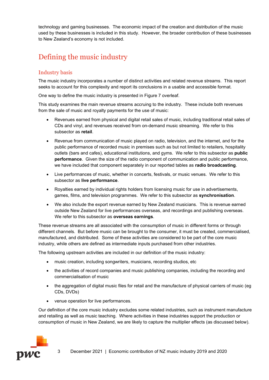technology and gaming businesses. The economic impact of the creation and distribution of the music used by these businesses is included in this study. However, the broader contribution of these businesses to New Zealand's economy is not included.

## Defining the music industry

### Industry basis

The music industry incorporates a number of distinct activities and related revenue streams. This report seeks to account for this complexity and report its conclusions in a usable and accessible format.

One way to define the music industry is presented in [Figure 7](#page-11-0) overleaf.

This study examines the main revenue streams accruing to the industry. These include both revenues from the sale of music and royalty payments for the use of music:

- Revenues earned from physical and digital retail sales of music, including traditional retail sales of CDs and vinyl, and revenues received from on-demand music streaming. We refer to this subsector as **retail**.
- Revenue from communication of music played on radio, television, and the internet, and for the public performance of recorded music in premises such as but not limited to retailers, hospitality outlets (bars and cafes), educational institutions, and gyms. We refer to this subsector as **public performance**. Given the size of the radio component of communication and public performance, we have included that component separately in our reported tables as **radio broadcasting**.
- Live performances of music, whether in concerts, festivals, or music venues. We refer to this subsector as **live performance**.
- Royalties earned by individual rights holders from licensing music for use in advertisements, games, films, and television programmes. We refer to this subsector as **synchronisation**.
- We also include the export revenue earned by New Zealand musicians. This is revenue earned outside New Zealand for live performances overseas, and recordings and publishing overseas. We refer to this subsector as **overseas earnings**.

These revenue streams are all associated with the consumption of music in different forms or through different channels. But before music can be brought to the consumer, it must be created, commercialised, manufactured, and distributed. Some of these activities are considered to be part of the core music industry, while others are defined as intermediate inputs purchased from other industries.

The following upstream activities are included in our definition of the music industry:

- music creation, including songwriters, musicians, recording studios, etc
- the activities of record companies and music publishing companies, including the recording and commercialisation of music
- the aggregation of digital music files for retail and the manufacture of physical carriers of music (eg CDs, DVDs)
- venue operation for live performances.

Our definition of the core music industry excludes some related industries, such as instrument manufacture and retailing as well as music teaching. Where activities in these industries support the production or consumption of music in New Zealand, we are likely to capture the multiplier effects (as discussed below).

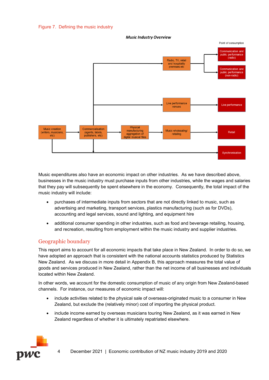#### <span id="page-11-0"></span>Figure 7. Defining the music industry



**Music Industry Overview** 

Music expenditures also have an economic impact on other industries. As we have described above, businesses in the music industry must purchase inputs from other industries, while the wages and salaries that they pay will subsequently be spent elsewhere in the economy. Consequently, the total impact of the music industry will include:

- purchases of intermediate inputs from sectors that are not directly linked to music, such as advertising and marketing, transport services, plastics manufacturing (such as for DVDs), accounting and legal services, sound and lighting, and equipment hire
- additional consumer spending in other industries, such as food and beverage retailing, housing, and recreation, resulting from employment within the music industry and supplier industries.

### Geographic boundary

This report aims to account for all economic impacts that take place in New Zealand. In order to do so, we have adopted an approach that is consistent with the national accounts statistics produced by Statistics New Zealand. As we discuss in more detail in Appendix B, this approach measures the total value of goods and services produced in New Zealand, rather than the net income of all businesses and individuals located within New Zealand.

In other words, we account for the domestic consumption of music of any origin from New Zealand-based channels. For instance, our measures of economic impact will:

- include activities related to the physical sale of overseas-originated music to a consumer in New Zealand, but exclude the (relatively minor) cost of importing the physical product.
- include income earned by overseas musicians touring New Zealand, as it was earned in New Zealand regardless of whether it is ultimately repatriated elsewhere.

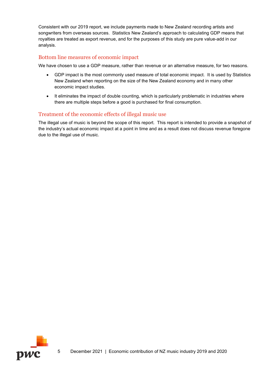Consistent with our 2019 report, we include payments made to New Zealand recording artists and songwriters from overseas sources. Statistics New Zealand's approach to calculating GDP means that royalties are treated as export revenue, and for the purposes of this study are pure value-add in our analysis.

#### Bottom line measures of economic impact

We have chosen to use a GDP measure, rather than revenue or an alternative measure, for two reasons.

- GDP impact is the most commonly used measure of total economic impact. It is used by Statistics New Zealand when reporting on the size of the New Zealand economy and in many other economic impact studies.
- It eliminates the impact of double counting, which is particularly problematic in industries where there are multiple steps before a good is purchased for final consumption.

### Treatment of the economic effects of illegal music use

The illegal use of music is beyond the scope of this report. This report is intended to provide a snapshot of the industry's actual economic impact at a point in time and as a result does not discuss revenue foregone due to the illegal use of music.

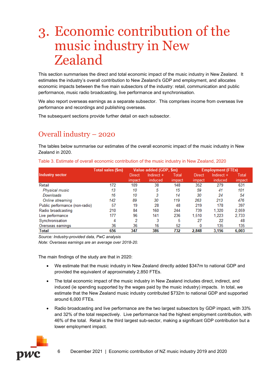# <span id="page-13-0"></span>3. Economic contribution of the music industry in New Zealand

This section summarises the direct and total economic impact of the music industry in New Zealand. It estimates the industry's overall contribution to New Zealand's GDP and employment, and allocates economic impacts between the five main subsectors of the industry: retail, communication and public performance, music radio broadcasting, live performance and synchronisation.

We also report overseas earnings as a separate subsector. This comprises income from overseas live performance and recordings and publishing overseas.

The subsequent sections provide further detail on each subsector.

## Overall industry – 2020

The tables below summarise our estimates of the overall economic impact of the music industry in New Zealand in 2020.

|                                | Total sales (\$m) |        | Value added (GDP, \$m) |        | <b>Employment (FTEs)</b> |            |        |
|--------------------------------|-------------------|--------|------------------------|--------|--------------------------|------------|--------|
| Industry sector                |                   | Direct | Indirect $+$           | Total  | Direct                   | Indirect + | Total  |
|                                |                   | impact | induced.               | impact | impact                   | induced    | impact |
| Retail                         | 172               | 109    | 38                     | 148    | 352                      | 279        | 631    |
| Physical music                 | 13                | 10     | 5                      | 15     | 59                       | 41         | 101    |
| Downloads                      | 16                | 10     | 3                      | 14     | 30                       | 24         | 54     |
| Online streaming               | 142               | 89     | 30                     | 119    | 263                      | 213        | 476    |
| Public performance (non-radio) | 57                | 19     | 28                     | 48     | 219                      | 178        | 397    |
| Radio broadcasting             | 210               | 84     | 160                    | 244    | 739                      | 1,320      | 2,059  |
| Live performance               | 177               | 96     | 141                    | 236    | 1.510                    | 1,223      | 2,733  |
| Synchronisation                | 4                 | 2      | 3                      | 5      | 27                       | 22         | 48     |
| Overseas earnings              | 36                | 36     | 16                     | 52     | 0                        | 135        | 135    |
| Total                          | 656               | 347    | 386                    | 732    | 2.848                    | 3.156      | 6.003  |

Table 3. Estimate of overall economic contribution of the music industry in New Zealand, 2020

*Source: Industry-provided data, PwC analysis*

*Note: Overseas earnings are an average over 2018-20.*

The main findings of the study are that in 2020:

- We estimate that the music industry in New Zealand directly added \$347m to national GDP and provided the equivalent of approximately 2,850 FTEs.
- The total economic impact of the music industry in New Zealand includes direct, indirect, and induced (ie spending supported by the wages paid by the music industry) impacts. In total, we estimate that the New Zealand music industry contributed \$732m to national GDP and supported around 6,000 FTEs.
- Radio broadcasting and live performance are the two largest subsectors by GDP impact, with 33% and 32% of the total respectively. Live performance had the highest employment contribution, with 46% of the total. Retail is the third largest sub-sector, making a significant GDP contribution but a lower employment impact.

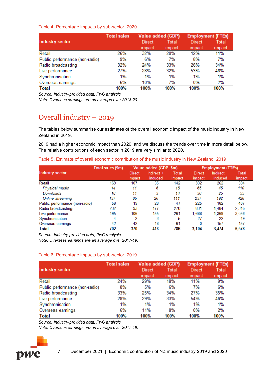#### Table 4. Percentage impacts by sub-sector, 2020

|                                | <b>Total sales</b> | Value added (GDP) |        | <b>Employment (FTEs)</b> |              |  |
|--------------------------------|--------------------|-------------------|--------|--------------------------|--------------|--|
| <b>Industry sector</b>         |                    | Direct            | Total  | Direct                   | <b>Total</b> |  |
|                                |                    | impact            | impact | impact                   | impact       |  |
| Retail                         | 26%                | 32%               | 20%    | 12%                      | 11%          |  |
| Public performance (non-radio) | 9%                 | 6%                | 7%     | 8%                       | 7%           |  |
| Radio broadcasting             | 32%                | 24%               | 33%    | 26%                      | 34%          |  |
| Live performance               | 27%                | 28%               | 32%    | 53%                      | 46%          |  |
| Synchronisation                | 1%                 | 1%                | 1%     | 1%                       | 1%           |  |
| Overseas earnings              | 6%                 | 10%               | 7%     | 0%                       | 2%           |  |
| <b>Total</b>                   | 100%               | 100%              | 100%   | 100%                     | 100%         |  |

*Source: Industry-provided data, PwC analysis*

*Note: Overseas earnings are an average over 2018-20.*

## Overall industry – 2019

The tables below summarise our estimates of the overall economic impact of the music industry in New Zealand in 2019.

2019 had a higher economic impact than 2020, and we discuss the trends over time in more detail below. The relative contributions of each sector in 2019 are very similar to 2020.

Table 5. Estimate of overall economic contribution of the music industry in New Zealand, 2019

|                                | Total sales (\$m) |        | Value added (GDP, \$m) |        | <b>Employment (FTEs)</b> |            |        |  |
|--------------------------------|-------------------|--------|------------------------|--------|--------------------------|------------|--------|--|
| Industry sector                |                   | Direct | Indirect +             | Total  | Direct                   | Indirect + | Total  |  |
|                                |                   | impact | induced                | impact | impact                   | induced    | impact |  |
| Retail                         | 169               | 107    | 35                     | 142    | 332                      | 262        | 594    |  |
| Physical music                 | 14                | 11     | 6                      | 16     | 65                       | 45         | 110    |  |
| Downloads                      | 18                | 11     | 3                      | 14     | 30                       | 25         | 55     |  |
| Online streaming               | 137               | 86     | 26                     | 111    | 237                      | 192        | 428    |  |
| Public performance (non-radio) | 58                | 19     | 28                     | 47     | 225                      | 182        | 407    |  |
| Radio broadcasting             | 232               | 93     | 177                    | 270    | 831                      | 1.484      | 2,316  |  |
| Live performance               | 195               | 106    | 155                    | 261    | 1,688                    | 1,368      | 3,056  |  |
| Synchronisation                | 4                 | 2      | 3                      | 5      | 27                       | 22         | 49     |  |
| Overseas earnings              | 42                | 42     | 18                     | 61     | 0                        | 157        | 157    |  |
| Total                          | 702               | 370    | 416                    | 786    | 3.104                    | 3,474      | 6.578  |  |

*Source: Industry-provided data, PwC analysis*

*Note: Overseas earnings are an average over 2017-19.*

#### Table 6. Percentage impacts by sub-sector, 2019

|                                | <b>Total sales</b> | Value added (GDP) |        | <b>Employment (FTEs)</b> |        |  |
|--------------------------------|--------------------|-------------------|--------|--------------------------|--------|--|
| Industry sector                |                    | Direct            | Total  | Direct                   | Total  |  |
|                                |                    | impact            | impact | impact                   | impact |  |
| Retail                         | 24%                | 29%               | 18%    | 11%                      | 9%     |  |
| Public performance (non-radio) | 8%                 | 5%                | 6%     | 7%                       | 6%     |  |
| Radio broadcasting             | 33%                | 25%               | 34%    | 27%                      | 35%    |  |
| Live performance               | 28%                | 29%               | 33%    | 54%                      | 46%    |  |
| Synchronisation                | 1%                 | 1%                | 1%     | 1%                       | 1%     |  |
| Overseas earnings              | 6%                 | 11%               | 8%     | 0%                       | 2%     |  |
| <b>Total</b>                   | 100%               | 100%              | 100%   | 100%                     | 100%   |  |

*Source: Industry-provided data, PwC analysis*

*Note: Overseas earnings are an average over 2017-19.*

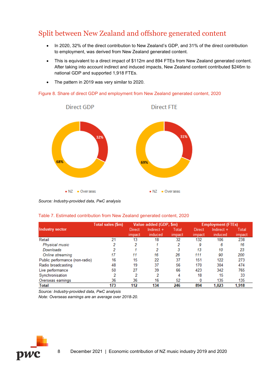## Split between New Zealand and offshore generated content

- In 2020, 32% of the direct contribution to New Zealand's GDP, and 31% of the direct contribution to employment, was derived from New Zealand generated content.
- This is equivalent to a direct impact of \$112m and 894 FTEs from New Zealand generated content. After taking into account indirect and induced impacts, New Zealand content contributed \$246m to national GDP and supported 1,918 FTEs.
- The pattern in 2019 was very similar to 2020.

#### Figure 8. Share of direct GDP and employment from New Zealand generated content, 2020



*Source: Industry-provided data, PwC analysis*

|                                | Total sales (\$m) |                  | Value added (GDP, \$m)  |                 |                  | <b>Employment (FTEs)</b> |                 |  |
|--------------------------------|-------------------|------------------|-------------------------|-----------------|------------------|--------------------------|-----------------|--|
| Industry sector                |                   | Direct<br>impact | Indirect $+$<br>induced | Total<br>impact | Direct<br>impact | Indirect +<br>induced    | Total<br>impact |  |
| Retail                         | 21                | 13               | 18                      | 32              | 132              | 106                      | 238             |  |
| Physical music                 | 2                 | 2                |                         | 2               | 9                | 6                        | 16              |  |
| Downloads                      | 2                 |                  | 2                       | 3               | 13               | 10                       | 23              |  |
| Online streaming               | 17                | 11               | 16                      | 26              | 111              | 90                       | 200             |  |
| Public performance (non-radio) | 16                | 15               | 22                      | 37              | 151              | 122                      | 273             |  |
| Radio broadcasting             | 48                | 19               | 37                      | 56              | 170              | 304                      | 474             |  |
| Live performance               | 50                | 27               | 39                      | 66              | 423              | 342                      | 765             |  |
| Synchronisation                | 2                 | 2                | 2                       | 4               | 18               | 15                       | 33              |  |
| Overseas earnings              | 36                | 36               | 16                      | 52              | 0                | 135                      | 135             |  |
| Total                          | 173               | 112              | 134                     | 246             | 894              | 1,023                    | 1,918           |  |

#### Table 7. Estimated contribution from New Zealand generated content, 2020

*Source: Industry-provided data, PwC analysis*

*Note: Overseas earnings are an average over 2018-20.*

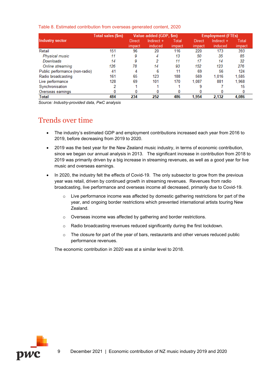|  |  |  |  | Table 8. Estimated contribution from overseas generated content, 2020 |
|--|--|--|--|-----------------------------------------------------------------------|
|--|--|--|--|-----------------------------------------------------------------------|

|                                | Total sales (\$m) |        | Value added (GDP, \$m) |        | <b>Employment (FTEs)</b> |            |        |  |
|--------------------------------|-------------------|--------|------------------------|--------|--------------------------|------------|--------|--|
| Industry sector                |                   | Direct | Indirect +             | Total  | Direct                   | Indirect + | Total  |  |
|                                |                   | impact | induced                | impact | impact                   | induced    | impact |  |
| Retail                         | 151               | 96     | 20                     | 116    | 220                      | 173        | 393    |  |
| Physical music                 | 11                | 9      | 4                      | 13     | 50                       | 35         | 85     |  |
| Downloads                      | 14                | 9      |                        | 11     | 17                       | 14         | 32     |  |
| Online streaming               | 126               | 78     | 14                     | 93     | 152                      | 123        | 276    |  |
| Public performance (non-radio) | 41                | 4      | 6                      | 11     | 69                       | 56         | 124    |  |
| Radio broadcasting             | 161               | 65     | 123                    | 188    | 569                      | 1.016      | 1,585  |  |
| Live performance               | 128               | 69     | 101                    | 170    | 1.087                    | 881        | 1,968  |  |
| Synchronisation                | 2                 |        |                        |        | 9                        |            | 15     |  |
| Overseas earnings              |                   |        |                        |        |                          |            | 0      |  |
| Total                          | 484               | 234    | 252                    | 486    | 1.954                    | 2,132      | 4,086  |  |

*Source: Industry-provided data, PwC analysis*

## Trends over time

- The industry's estimated GDP and employment contributions increased each year from 2016 to 2019, before decreasing from 2019 to 2020.
- 2019 was the best year for the New Zealand music industry, in terms of economic contribution, since we began our annual analysis in 2013. The significant increase in contribution from 2018 to 2019 was primarily driven by a big increase in streaming revenues, as well as a good year for live music and overseas earnings.
- In 2020, the industry felt the effects of Covid-19. The only subsector to grow from the previous year was retail, driven by continued growth in streaming revenues. Revenues from radio broadcasting, live performance and overseas income all decreased, primarily due to Covid-19.
	- $\circ$  Live performance income was affected by domestic gathering restrictions for part of the year, and ongoing border restrictions which prevented international artists touring New Zealand.
	- o Overseas income was affected by gathering and border restrictions.
	- o Radio broadcasting revenues reduced significantly during the first lockdown.
	- $\circ$  The closure for part of the year of bars, restaurants and other venues reduced public performance revenues.

The economic contribution in 2020 was at a similar level to 2018.

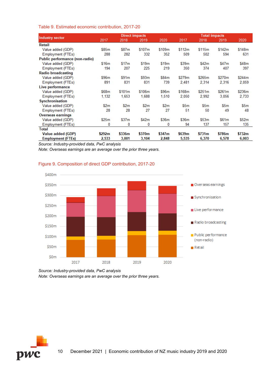#### Table 9. Estimated economic contribution, 2017-20

|                                | <b>Direct impacts</b> |                   |                   |        | <b>Total impacts</b> |        |        |        |  |
|--------------------------------|-----------------------|-------------------|-------------------|--------|----------------------|--------|--------|--------|--|
| Industry sector                | 2017                  | 2018              | 2019              | 2020   | 2017                 | 2018   | 2019   | 2020   |  |
| Retail                         |                       |                   |                   |        |                      |        |        |        |  |
| Value added (GDP)              | \$85m                 | \$87m             | \$107m            | \$109m | \$112m               | \$115m | \$142m | \$148m |  |
| Employment (FTEs)              | 288                   | 282               | 332               | 352    | 509                  | 502    | 594    | 631    |  |
| Public performance (non-radio) |                       |                   |                   |        |                      |        |        |        |  |
| Value added (GDP)              | \$16m                 | \$17m             | \$19 <sub>m</sub> | \$19m  | \$39m                | \$42m  | \$47m  | \$48m  |  |
| Employment (FTEs)              | 194                   | 207               | 225               | 219    | 350                  | 374    | 407    | 397    |  |
| <b>Radio broadcasting</b>      |                       |                   |                   |        |                      |        |        |        |  |
| Value added (GDP)              | \$96m                 | \$91 <sub>m</sub> | \$93m             | \$84m  | \$279m               | \$265m | \$270m | \$244m |  |
| Employment (FTEs)              | 891                   | 831               | 831               | 739    | 2,481                | 2,314  | 2,316  | 2,059  |  |
| Live performance               |                       |                   |                   |        |                      |        |        |        |  |
| Value added (GDP)              | \$68m                 | \$101m            | \$106m            | \$96m  | \$168m               | \$251m | \$261m | \$236m |  |
| Employment (FTEs)              | 1,132                 | 1.653             | 1,688             | 1,510  | 2,050                | 2,992  | 3,056  | 2,733  |  |
| Synchronisation                |                       |                   |                   |        |                      |        |        |        |  |
| Value added (GDP)              | \$2m                  | \$2m              | \$2m              | \$2m   | \$5m                 | \$5m   | \$5m   | \$5m   |  |
| Employment (FTEs)              | 28                    | 28                | 27                | 27     | 51                   | 50     | 49     | 48     |  |
| <b>Overseas earnings</b>       |                       |                   |                   |        |                      |        |        |        |  |
| Value added (GDP)              | \$25m                 | \$37m             | \$42m             | \$36m  | \$36m                | \$53m  | \$61m  | \$52m  |  |
| Employment (FTEs)              | 0                     | 0                 | 0                 | 0      | 94                   | 137    | 157    | 135    |  |
| <b>Total</b>                   |                       |                   |                   |        |                      |        |        |        |  |
| Value added (GDP)              | \$292m                | \$336m            | \$370m            | \$347m | \$639m               | \$731m | \$786m | \$732m |  |
| <b>Employment (FTEs)</b>       | 2,533                 | 3,001             | 3,104             | 2,848  | 5,535                | 6,370  | 6,578  | 6,003  |  |

*Source: Industry-provided data, PwC analysis*

*Note: Overseas earnings are an average over the prior three years.*



#### Figure 9. Composition of direct GDP contribution, 2017-20

*Source: Industry-provided data, PwC analysis Note: Overseas earnings are an average over the prior three years.*

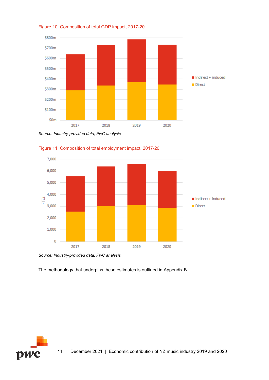

Figure 10. Composition of total GDP impact, 2017-20

*Source: Industry-provided data, PwC analysis*



Figure 11. Composition of total employment impact, 2017-20

*Source: Industry-provided data, PwC analysis*

The methodology that underpins these estimates is outlined in Appendix B.

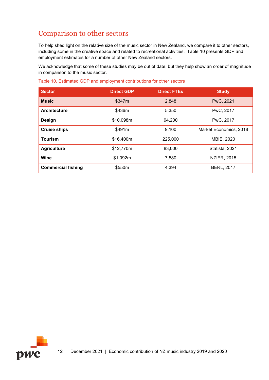## Comparison to other sectors

To help shed light on the relative size of the music sector in New Zealand, we compare it to other sectors, including some in the creative space and related to recreational activities. [Table 10](#page-19-0) presents GDP and employment estimates for a number of other New Zealand sectors.

We acknowledge that some of these studies may be out of date, but they help show an order of magnitude in comparison to the music sector.

<span id="page-19-0"></span>Table 10. Estimated GDP and employment contributions for other sectors

| <b>Sector</b>             | <b>Direct GDP</b> | <b>Direct FTEs</b> | <b>Study</b>           |
|---------------------------|-------------------|--------------------|------------------------|
| <b>Music</b>              | \$347m            | 2,848              | PwC, 2021              |
| <b>Architecture</b>       | \$436m            | 5,350              | PwC, 2017              |
| <b>Design</b>             | \$10,098m         | 94,200             | PwC, 2017              |
| <b>Cruise ships</b>       | \$491m            | 9,100              | Market Economics, 2018 |
| <b>Tourism</b>            | \$16,400m         | 225,000            | MBIE, 2020             |
| <b>Agriculture</b>        | \$12,770m         | 83,000             | Statista, 2021         |
| Wine                      | \$1,092m          | 7,580              | <b>NZIER, 2015</b>     |
| <b>Commercial fishing</b> | \$550m            | 4,394              | <b>BERL, 2017</b>      |

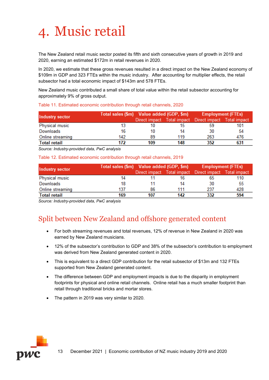<span id="page-20-0"></span>

The New Zealand retail music sector posted its fifth and sixth consecutive years of growth in 2019 and 2020, earning an estimated \$172m in retail revenues in 2020.

In 2020, we estimate that these gross revenues resulted in a direct impact on the New Zealand economy of \$109m in GDP and 323 FTEs within the music industry. After accounting for multiplier effects, the retail subsector had a total economic impact of \$143m and 578 FTEs.

New Zealand music contributed a small share of total value within the retail subsector accounting for approximately 9% of gross output.

| <b>Industry sector</b> | Total sales (\$m) Value added (GDP, \$m) |     |     | <b>Employment (FTEs)</b>                 |              |  |
|------------------------|------------------------------------------|-----|-----|------------------------------------------|--------------|--|
|                        |                                          |     |     | Direct impact Total impact Direct impact | Total impact |  |
| Physical music         |                                          | 10  | 15  | 59                                       | 101          |  |
| Downloads              | 16                                       | 10  | 14  | 30                                       | 54           |  |
| Online streaming       | 142                                      | 89  | 119 | 263                                      | 476          |  |
| <b>Total retail</b>    | 172                                      | 109 | 148 | 352                                      | 631          |  |

#### Table 11. Estimated economic contribution through retail channels, 2020

*Source: Industry-provided data, PwC analysis*

Table 12. Estimated economic contribution through retail channels, 2019

| Industry sector     | Total sales (\$m) Value added (GDP, \$m) |     |     | <b>Employment (FTEs)</b>                              |     |  |
|---------------------|------------------------------------------|-----|-----|-------------------------------------------------------|-----|--|
|                     |                                          |     |     | Direct impact Total impact Direct impact Total impact |     |  |
| Physical music      | 14                                       |     | 16  | 65                                                    | 110 |  |
| Downloads           | 18                                       |     | 14  | 30                                                    | -55 |  |
| Online streaming    | 137                                      | 86  | 111 | 237                                                   | 428 |  |
| <b>Total retail</b> | 169                                      | 107 | 142 | 332                                                   | 594 |  |

*Source: Industry-provided data, PwC analysis*

## Split between New Zealand and offshore generated content

- For both streaming revenues and total revenues, 12% of revenue in New Zealand in 2020 was earned by New Zealand musicians.
- 12% of the subsector's contribution to GDP and 38% of the subsector's contribution to employment was derived from New Zealand generated content in 2020.
- This is equivalent to a direct GDP contribution for the retail subsector of \$13m and 132 FTEs supported from New Zealand generated content.
- The difference between GDP and employment impacts is due to the disparity in employment footprints for physical and online retail channels. Online retail has a much smaller footprint than retail through traditional bricks and mortar stores.
- The pattern in 2019 was very similar to 2020.

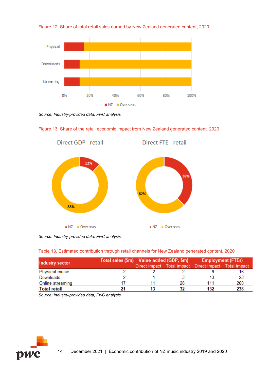



*Source: Industry-provided data, PwC analysis*



Figure 13. Share of the retail economic impact from New Zealand generated content, 2020

*Source: Industry-provided data, PwC analysis*

#### Table 13. Estimated contribution through retail channels for New Zealand generated content, 2020

| <b>Industry sector</b> | Total sales (\$m) Value added (GDP, \$m) |    | <b>Employment (FTEs)</b>                              |     |  |
|------------------------|------------------------------------------|----|-------------------------------------------------------|-----|--|
|                        |                                          |    | Direct impact Total impact Direct impact Total impact |     |  |
| Physical music         |                                          |    |                                                       |     |  |
| Downloads              |                                          |    |                                                       | -23 |  |
| Online streaming       |                                          | 26 | 111                                                   | 200 |  |
| <b>Total retail</b>    |                                          | 32 | 132                                                   | 238 |  |

*Source: Industry-provided data, PwC analysis*

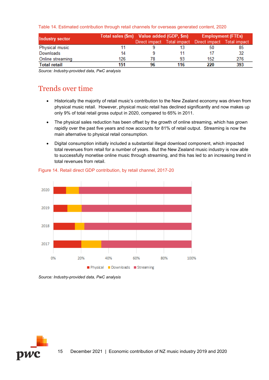|  | Table 14. Estimated contribution through retail channels for overseas generated content, 2020 |  |  |  |  |
|--|-----------------------------------------------------------------------------------------------|--|--|--|--|
|  |                                                                                               |  |  |  |  |

| <b>Industry sector</b> | Total sales (\$m) Value added (GDP, \$m) |    |     | <b>Employment (FTEs)</b>                              |     |
|------------------------|------------------------------------------|----|-----|-------------------------------------------------------|-----|
|                        |                                          |    |     | Direct impact Total impact Direct impact Total impact |     |
| Physical music         |                                          |    |     | 50                                                    | 85  |
| Downloads              | 14                                       |    |     |                                                       | 32  |
| Online streaming       | 126                                      | 78 | 93  | 152                                                   | 276 |
| <b>Total retail</b>    | 151                                      | 96 | 116 | 220                                                   | 393 |

*Source: Industry-provided data, PwC analysis*

## Trends over time

- Historically the majority of retail music's contribution to the New Zealand economy was driven from physical music retail. However, physical music retail has declined significantly and now makes up only 9% of total retail gross output in 2020, compared to 65% in 2011.
- The physical sales reduction has been offset by the growth of online streaming, which has grown rapidly over the past five years and now accounts for 81% of retail output. Streaming is now the main alternative to physical retail consumption.
- Digital consumption initially included a substantial illegal download component, which impacted total revenues from retail for a number of years. But the New Zealand music industry is now able to successfully monetise online music through streaming, and this has led to an increasing trend in total revenues from retail.



Figure 14. Retail direct GDP contribution, by retail channel, 2017-20



*Source: Industry-provided data, PwC analysis*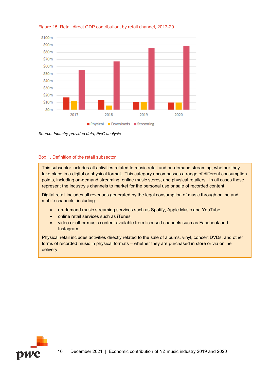

#### Figure 15. Retail direct GDP contribution, by retail channel, 2017-20

*Source: Industry-provided data, PwC analysis*

#### Box 1. Definition of the retail subsector

This subsector includes all activities related to music retail and on-demand streaming, whether they take place in a digital or physical format. This category encompasses a range of different consumption points, including on-demand streaming, online music stores, and physical retailers. In all cases these represent the industry's channels to market for the personal use or sale of recorded content.

Digital retail includes all revenues generated by the legal consumption of music through online and mobile channels, including:

- on-demand music streaming services such as Spotify, Apple Music and YouTube
- online retail services such as iTunes
- video or other music content available from licensed channels such as Facebook and Instagram.

Physical retail includes activities directly related to the sale of albums, vinyl, concert DVDs, and other forms of recorded music in physical formats – whether they are purchased in store or via online delivery.

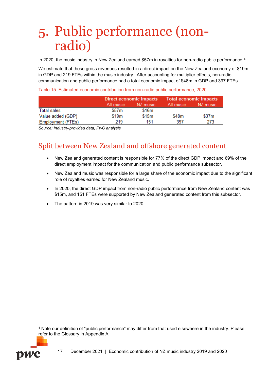# <span id="page-24-0"></span>5. Public performance (nonradio)

In 2020, the music industry in New Zealand earned \$57m in royalties for non-radio public performance.<sup>[4](#page-24-1)</sup>

We estimate that these gross revenues resulted in a direct impact on the New Zealand economy of \$19m in GDP and 219 FTEs within the music industry. After accounting for multiplier effects, non-radio communication and public performance had a total economic impact of \$48m in GDP and 397 FTEs.

<span id="page-24-2"></span>Table 15. Estimated economic contribution from non-radio public performance, 2020

|                   |           | <b>Direct economic impacts</b> | <b>Total economic impacts</b> |          |  |
|-------------------|-----------|--------------------------------|-------------------------------|----------|--|
|                   | All music | NZ music                       | All music                     | NZ music |  |
| Total sales       | \$57m     | \$16m                          |                               |          |  |
| Value added (GDP) | \$19m     | \$15m                          | \$48m                         | \$37m    |  |
| Employment (FTEs) | 219       | 151                            | 397                           | 273      |  |

*Source: Industry-provided data, PwC analysis*

# Split between New Zealand and offshore generated content

- New Zealand generated content is responsible for 77% of the direct GDP impact and 69% of the direct employment impact for the communication and public performance subsector.
- New Zealand music was responsible for a large share of the economic impact due to the significant role of royalties earned for New Zealand music.
- In 2020, the direct GDP impact from non-radio public performance from New Zealand content was \$15m, and 151 FTEs were supported by New Zealand generated content from this subsector.
- The pattern in 2019 was very similar to 2020.

<span id="page-24-1"></span><sup>4</sup> Note our definition of "public performance" may differ from that used elsewhere in the industry. Please refer to the Glossary in Appendix A.

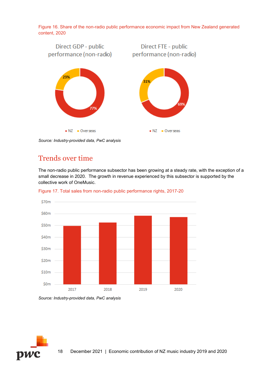Figure 16. Share of the non-radio public performance economic impact from New Zealand generated content, 2020



*Source: Industry-provided data, PwC analysis*

## Trends over time

The non-radio public performance subsector has been growing at a steady rate, with the exception of a small decrease in 2020. The growth in revenue experienced by this subsector is supported by the collective work of OneMusic.



<span id="page-25-0"></span>Figure 17. Total sales from non-radio public performance rights, 2017-20

*Source: Industry-provided data, PwC analysis*

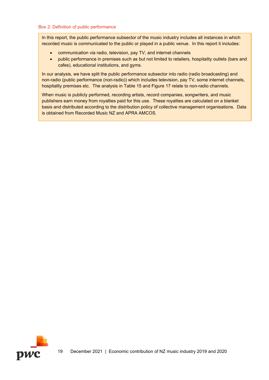#### Box 2: Definition of public performance

In this report, the public performance subsector of the music industry includes all instances in which recorded music is communicated to the public or played in a public venue. In this report it includes:

- communication via radio, television, pay TV, and internet channels
- public performance in premises such as but not limited to retailers, hospitality outlets (bars and cafes), educational institutions, and gyms.

In our analysis, we have split the public performance subsector into radio (radio broadcasting) and non-radio (public performance (non-radio)) which includes television, pay TV, some internet channels, hospitality premises etc. The analysis in [Table 15](#page-24-2) and [Figure 17](#page-25-0) relate to non-radio channels.

When music is publicly performed, recording artists, record companies, songwriters, and music publishers earn money from royalties paid for this use. These royalties are calculated on a blanket basis and distributed according to the distribution policy of collective management organisations. Data is obtained from Recorded Music NZ and APRA AMCOS.

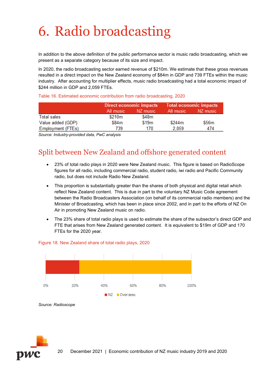# <span id="page-27-0"></span>6. Radio broadcasting

In addition to the above definition of the public performance sector is music radio broadcasting, which we present as a separate category because of its size and impact.

In 2020, the radio broadcasting sector earned revenue of \$210m. We estimate that these gross revenues resulted in a direct impact on the New Zealand economy of \$84m in GDP and 739 FTEs within the music industry. After accounting for multiplier effects, music radio broadcasting had a total economic impact of \$244 million in GDP and 2,059 FTEs.

Table 16. Estimated economic contribution from radio broadcasting, 2020

|                    |           | Direct economic impacts | <b>Total economic impacts</b> |          |  |
|--------------------|-----------|-------------------------|-------------------------------|----------|--|
|                    | All music | NZ music                | All music                     | NZ music |  |
| <b>Total sales</b> | \$210m    | \$48m                   |                               |          |  |
| Value added (GDP)  | \$84m     | \$19m                   | \$244m                        | \$56m    |  |
| Employment (FTEs)  | 739       | 170                     | 2.059                         | 474      |  |

*Source: Industry-provided data, PwC analysis*

## Split between New Zealand and offshore generated content

- 23% of total radio plays in 2020 were New Zealand music. This figure is based on RadioScope figures for all radio, including commercial radio, student radio, iwi radio and Pacific Community radio, but does not include Radio New Zealand.
- This proportion is substantially greater than the shares of both physical and digital retail which reflect New Zealand content. This is due in part to the voluntary NZ Music Code agreement between the Radio Broadcasters Association (on behalf of its commercial radio members) and the Minister of Broadcasting, which has been in place since 2002, and in part to the efforts of NZ On Air in promoting New Zealand music on radio.
- The 23% share of total radio plays is used to estimate the share of the subsector's direct GDP and FTE that arises from New Zealand generated content. It is equivalent to \$19m of GDP and 170 FTEs for the 2020 year.



#### Figure 18. New Zealand share of total radio plays, 2020



*Source: Radioscope*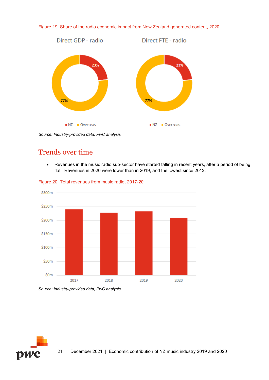



*Source: Industry-provided data, PwC analysis*

## Trends over time

• Revenues in the music radio sub-sector have started falling in recent years, after a period of being flat. Revenues in 2020 were lower than in 2019, and the lowest since 2012.



Figure 20. Total revenues from music radio, 2017-20

*Source: Industry-provided data, PwC analysis*

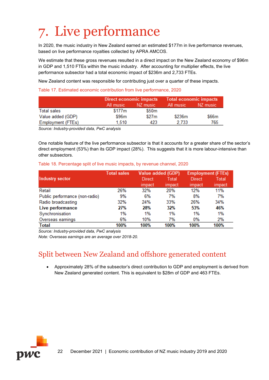# <span id="page-29-0"></span>7. Live performance

In 2020, the music industry in New Zealand earned an estimated \$177m in live performance revenues, based on live performance royalties collected by APRA AMCOS.

We estimate that these gross revenues resulted in a direct impact on the New Zealand economy of \$96m in GDP and 1,510 FTEs within the music industry. After accounting for multiplier effects, the live performance subsector had a total economic impact of \$236m and 2,733 FTEs.

New Zealand content was responsible for contributing just over a quarter of these impacts.

Table 17. Estimated economic contribution from live performance, 2020

|                    | Direct economic impacts |          | <b>Total economic impacts</b> |          |  |
|--------------------|-------------------------|----------|-------------------------------|----------|--|
|                    | All music               | NZ music | All music                     | NZ music |  |
| <b>Total sales</b> | \$177m                  | \$50m    |                               |          |  |
| Value added (GDP)  | \$96m                   | \$27m    | \$236m                        | \$66m    |  |
| Employment (FTEs)  | 1.510                   | 423      | 2.733                         | 765      |  |

*Source: Industry-provided data, PwC analysis*

One notable feature of the live performance subsector is that it accounts for a greater share of the sector's direct employment (53%) than its GDP impact (28%). This suggests that it is more labour-intensive than other subsectors.

#### Table 18. Percentage split of live music impacts, by revenue channel, 2020

|                                | <b>Total sales</b> | <b>Value added (GDP)</b> |        | <b>Employment (FTEs)</b> |        |
|--------------------------------|--------------------|--------------------------|--------|--------------------------|--------|
| <b>Industry sector</b>         |                    | Direct                   | Total  | Direct                   | Total  |
|                                |                    | impact                   | impact | impact                   | impact |
| Retail                         | 26%                | 32%                      | 20%    | 12%                      | 11%    |
| Public performance (non-radio) | 9%                 | 6%                       | 7%     | 8%                       | 7%     |
| Radio broadcasting             | 32%                | 24%                      | 33%    | 26%                      | 34%    |
| Live performance               | 27%                | 28%                      | 32%    | 53%                      | 46%    |
| Synchronisation                | 1%                 | 1%                       | 1%     | 1%                       | 1%     |
| Overseas earnings              | 6%                 | 10%                      | 7%     | 0%                       | 2%     |
| <b>Total</b>                   | 100%               | 100%                     | 100%   | 100%                     | 100%   |

*Source: Industry-provided data, PwC analysis*

*Note: Overseas earnings are an average over 2018-20.*

## Split between New Zealand and offshore generated content

• Approximately 28% of the subsector's direct contribution to GDP and employment is derived from New Zealand generated content. This is equivalent to \$28m of GDP and 463 FTEs.

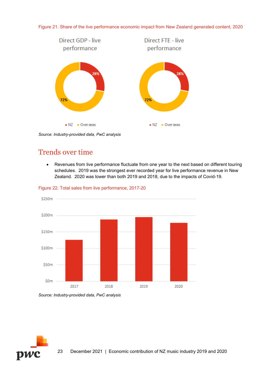



*Source: Industry-provided data, PwC analysis*

### Trends over time

• Revenues from live performance fluctuate from one year to the next based on different touring schedules. 2019 was the strongest ever recorded year for live performance revenue in New Zealand. 2020 was lower than both 2019 and 2018, due to the impacts of Covid-19.



Figure 22. Total sales from live performance, 2017-20

*Source: Industry-provided data, PwC analysis*

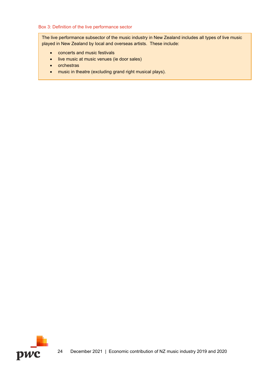#### Box 3: Definition of the live performance sector

The live performance subsector of the music industry in New Zealand includes all types of live music played in New Zealand by local and overseas artists. These include:

- concerts and music festivals
- live music at music venues (ie door sales)
- orchestras
- music in theatre (excluding grand right musical plays).

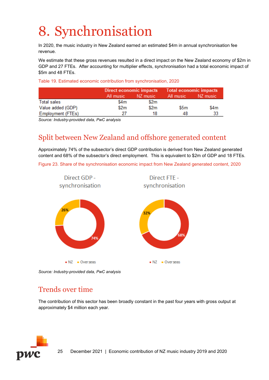# <span id="page-32-0"></span>8. Synchronisation

In 2020, the music industry in New Zealand earned an estimated \$4m in annual synchronisation fee revenue.

We estimate that these gross revenues resulted in a direct impact on the New Zealand economy of \$2m in GDP and 27 FTEs. After accounting for multiplier effects, synchronisation had a total economic impact of \$5m and 48 FTEs.

Table 19. Estimated economic contribution from synchronisation, 2020

|                          | Direct economic impacts |          | <b>Total economic impacts</b> |          |  |
|--------------------------|-------------------------|----------|-------------------------------|----------|--|
|                          | All music               | NZ music | All music                     | NZ music |  |
| <b>Total sales</b>       | \$4m                    | \$2m     |                               |          |  |
| Value added (GDP)        | \$2m                    | \$2m     | \$5m                          | \$4m     |  |
| <b>Employment (FTEs)</b> | 27                      | 18       | 48                            | 33       |  |

*Source: Industry-provided data, PwC analysis*

## Split between New Zealand and offshore generated content

Approximately 74% of the subsector's direct GDP contribution is derived from New Zealand generated content and 68% of the subsector's direct employment. This is equivalent to \$2m of GDP and 18 FTEs.

Figure 23. Share of the synchronisation economic impact from New Zealand generated content, 2020



*Source: Industry-provided data, PwC analysis*

## Trends over time

The contribution of this sector has been broadly constant in the past four years with gross output at approximately \$4 million each year.

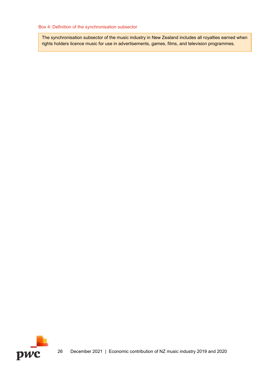#### Box 4: Definition of the synchronisation subsector

The synchronisation subsector of the music industry in New Zealand includes all royalties earned when rights holders licence music for use in advertisements, games, films, and television programmes.

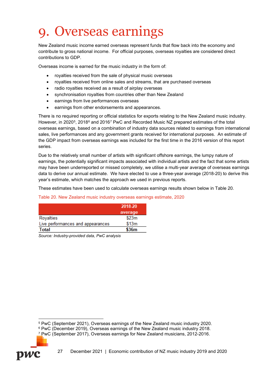# <span id="page-34-0"></span>9. Overseas earnings

New Zealand music income earned overseas represent funds that flow back into the economy and contribute to gross national income. For official purposes, overseas royalties are considered direct contributions to GDP.

Overseas income is earned for the music industry in the form of:

- royalties received from the sale of physical music overseas
- royalties received from online sales and streams, that are purchased overseas
- radio royalties received as a result of airplay overseas
- synchronisation royalties from countries other than New Zealand
- earnings from live performances overseas
- earnings from other endorsements and appearances.

There is no required reporting or official statistics for exports relating to the New Zealand music industry. However, in 2020<sup>[5](#page-34-2)</sup>, 2018<sup>[6](#page-34-3)</sup> and 2016<sup>[7](#page-34-4)</sup> PwC and Recorded Music NZ prepared estimates of the total overseas earnings, based on a combination of industry data sources related to earnings from international sales, live performances and any government grants received for international purposes. An estimate of the GDP impact from overseas earnings was included for the first time in the 2016 version of this report series.

Due to the relatively small number of artists with significant offshore earnings, the lumpy nature of earnings, the potentially significant impacts associated with individual artists and the fact that some artists may have been underreported or missed completely, we utilise a multi-year average of overseas earnings data to derive our annual estimate. We have elected to use a three-year average (2018-20) to derive this year's estimate, which matches the approach we used in previous reports.

These estimates have been used to calculate overseas earnings results shown below in [Table 20.](#page-34-1)

#### <span id="page-34-1"></span>Table 20. New Zealand music industry overseas earnings estimate, 2020

| 2018-20 |
|---------|
| average |
| \$23m   |
| \$13m   |
| \$36m   |
|         |

*Source: Industry-provided data, PwC analysis*

<span id="page-34-4"></span><span id="page-34-3"></span><span id="page-34-2"></span><sup>7</sup> PwC (September 2017), Overseas earnings for New Zealand musicians, 2012-2016.



<sup>5</sup> PwC (September 2021), Overseas earnings of the New Zealand music industry 2020.

<sup>6</sup> PwC (December 2019), Overseas earnings of the New Zealand music industry 2018.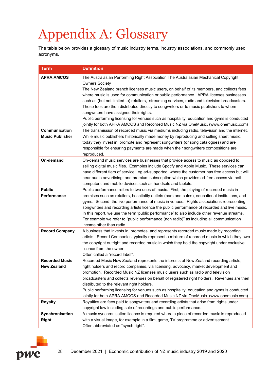# <span id="page-35-0"></span>Appendix A: Glossary

The table below provides a glossary of music industry terms, industry associations, and commonly used acronyms.

| <b>Term</b>                          | <b>Definition</b>                                                                                                                                                                                                                                                                                                                                                                                                                                                                                                                                                                                                                                                                                                                                                                                                             |
|--------------------------------------|-------------------------------------------------------------------------------------------------------------------------------------------------------------------------------------------------------------------------------------------------------------------------------------------------------------------------------------------------------------------------------------------------------------------------------------------------------------------------------------------------------------------------------------------------------------------------------------------------------------------------------------------------------------------------------------------------------------------------------------------------------------------------------------------------------------------------------|
| <b>APRA AMCOS</b><br>Communication   | The Australasian Performing Right Association The Australasian Mechanical Copyright<br><b>Owners Society</b><br>The New Zealand branch licenses music users, on behalf of its members, and collects fees<br>where music is used for communication or public performance. APRA licenses businesses<br>such as (but not limited to) retailers, streaming services, radio and television broadcasters.<br>These fees are then distributed directly to songwriters or to music publishers to whom<br>songwriters have assigned their rights.<br>Public performing licensing for venues such as hospitality, education and gyms is conducted<br>jointly for both APRA AMCOS and Recorded Music NZ via OneMusic. (www.onemusic.com)<br>The transmission of recorded music via mediums including radio, television and the internet. |
| <b>Music Publisher</b>               | While music publishers historically made money by reproducing and selling sheet music,<br>today they invest in, promote and represent songwriters (or song catalogues) and are<br>responsible for ensuring payments are made when their songwriters compositions are<br>reproduced.                                                                                                                                                                                                                                                                                                                                                                                                                                                                                                                                           |
| On-demand                            | On-demand music services are businesses that provide access to music as opposed to<br>selling digital music files. Examples include Spotify and Apple Music. These services can<br>have different tiers of service: eg ad-supported, where the customer has free access but will<br>hear audio advertising; and premium subscription which provides ad-free access via both<br>computers and mobile devices such as handsets and tablets.                                                                                                                                                                                                                                                                                                                                                                                     |
| <b>Public</b><br><b>Performance</b>  | Public performance refers to two uses of music. First, the playing of recorded music in<br>premises such as retailers, hospitality outlets (bars and cafes), educational institutions, and<br>gyms. Second, the live performance of music in venues. Rights associations representing<br>songwriters and recording artists licence the public performance of recorded and live music.<br>In this report, we use the term 'public performance' to also include other revenue streams.<br>For example we refer to "public performance (non radio)" as including all communication<br>income other than radio.                                                                                                                                                                                                                   |
| <b>Record Company</b>                | A business that invests in, promotes, and represents recorded music made by recording<br>artists. Record Companies typically represent a mixture of recorded music in which they own<br>the copyright outright and recorded music in which they hold the copyright under exclusive<br>licence from the owner.<br>Often called a "record label".                                                                                                                                                                                                                                                                                                                                                                                                                                                                               |
| <b>Recorded Music</b><br>New Zealand | Recorded Music New Zealand represents the interests of New Zealand recording artists,<br>right holders and record companies, via licensing, advocacy, market development and<br>promotion. Recorded Music NZ licenses music users such as radio and television<br>broadcasters and collects revenues on behalf of registered right holders. Revenues are then<br>distributed to the relevant right holders.<br>Public performing licensing for venues such as hospitality, education and gyms is conducted<br>jointly for both APRA AMCOS and Recorded Music NZ via OneMusic. (www.onemusic.com)                                                                                                                                                                                                                              |
| <b>Royalty</b>                       | Royalties are fees paid to songwriters and recording artists that arise from rights under<br>copyright law including sale of recordings and public performance.                                                                                                                                                                                                                                                                                                                                                                                                                                                                                                                                                                                                                                                               |
| Synchronisation<br><b>Right</b>      | A music synchronisation licence is required where a piece of recorded music is reproduced<br>with a visual image, for example in a film, game, TV programme or advertisement.<br>Often abbreviated as "synch right".                                                                                                                                                                                                                                                                                                                                                                                                                                                                                                                                                                                                          |

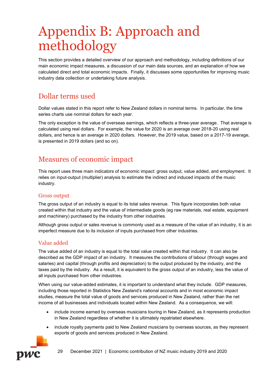# <span id="page-36-0"></span>Appendix B: Approach and methodology

This section provides a detailed overview of our approach and methodology, including definitions of our main economic impact measures, a discussion of our main data sources, and an explanation of how we calculated direct and total economic impacts. Finally, it discusses some opportunities for improving music industry data collection or undertaking future analysis.

## Dollar terms used

Dollar values stated in this report refer to New Zealand dollars in nominal terms. In particular, the time series charts use nominal dollars for each year.

The only exception is the value of overseas earnings, which reflects a three-year average. That average is calculated using real dollars. For example, the value for 2020 is an average over 2018-20 using real dollars, and hence is an average in 2020 dollars. However, the 2019 value, based on a 2017-19 average, is presented in 2019 dollars (and so on).

## Measures of economic impact

This report uses three main indicators of economic impact: gross output, value added, and employment. It relies on input-output (multiplier) analysis to estimate the indirect and induced impacts of the music industry.

### Gross output

The gross output of an industry is equal to its total sales revenue. This figure incorporates both value created within that industry and the value of intermediate goods (eg raw materials, real estate, equipment and machinery) purchased by the industry from other industries.

Although gross output or sales revenue is commonly used as a measure of the value of an industry, it is an imperfect measure due to its inclusion of inputs purchased from other industries.

### Value added

The value added of an industry is equal to the total value created within that industry. It can also be described as the GDP impact of an industry. It measures the contributions of labour (through wages and salaries) and capital (through profits and depreciation) to the output produced by the industry, and the taxes paid by the industry. As a result, it is equivalent to the gross output of an industry, less the value of all inputs purchased from other industries.

When using our value-added estimates, it is important to understand what they include. GDP measures, including those reported in Statistics New Zealand's national accounts and in most economic impact studies, measure the total value of goods and services produced in New Zealand, rather than the net income of all businesses and individuals located within New Zealand. As a consequence, we will:

- include income earned by overseas musicians touring in New Zealand, as it represents production in New Zealand regardless of whether it is ultimately repatriated elsewhere.
- include royalty payments paid to New Zealand musicians by overseas sources, as they represent exports of goods and services produced in New Zealand.



29 December 2021 | Economic contribution of NZ music industry 2019 and 2020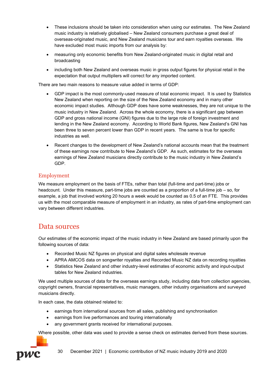- These inclusions should be taken into consideration when using our estimates. The New Zealand music industry is relatively globalised – New Zealand consumers purchase a great deal of overseas-originated music, and New Zealand musicians tour and earn royalties overseas. We have excluded most music imports from our analysis by:
- measuring only economic benefits from New Zealand-originated music in digital retail and broadcasting
- including both New Zealand and overseas music in gross output figures for physical retail in the expectation that output multipliers will correct for any imported content.

There are two main reasons to measure value added in terms of GDP:

- GDP impact is the most commonly-used measure of total economic impact. It is used by Statistics New Zealand when reporting on the size of the New Zealand economy and in many other economic impact studies. Although GDP does have some weaknesses, they are not unique to the music industry in New Zealand. Across the whole economy, there is a significant gap between GDP and gross national income (GNI) figures due to the large role of foreign investment and lending in the New Zealand economy. According to World Bank figures, New Zealand's GNI has been three to seven percent lower than GDP in recent years. The same is true for specific industries as well.
- Recent changes to the development of New Zealand's national accounts mean that the treatment of these earnings now contribute to New Zealand's GDP. As such, estimates for the overseas earnings of New Zealand musicians directly contribute to the music industry in New Zealand's GDP.

### Employment

We measure employment on the basis of FTEs, rather than total (full-time and part-time) jobs or headcount. Under this measure, part-time jobs are counted as a proportion of a full-time job – so, for example, a job that involved working 20 hours a week would be counted as 0.5 of an FTE. This provides us with the most comparable measure of employment in an industry, as rates of part-time employment can vary between different industries.

### Data sources

Our estimates of the economic impact of the music industry in New Zealand are based primarily upon the following sources of data:

- Recorded Music NZ figures on physical and digital sales wholesale revenue
- APRA AMCOS data on songwriter royalties and Recorded Music NZ data on recording royalties
- Statistics New Zealand and other industry-level estimates of economic activity and input-output tables for New Zealand industries.

We used multiple sources of data for the overseas earnings study, including data from collection agencies, copyright owners, financial representatives, music managers, other industry organisations and surveyed musicians directly.

In each case, the data obtained related to:

- earnings from international sources from all sales, publishing and synchronisation
- earnings from live performances and touring internationally
- any government grants received for international purposes.

Where possible, other data was used to provide a sense check on estimates derived from these sources.

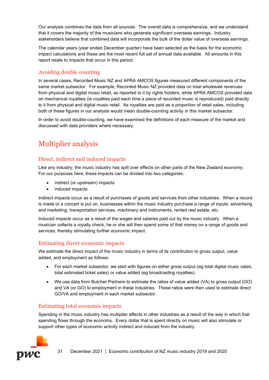Our analysis combines the data from all sources. The overall data is comprehensive, and we understand that it covers the majority of the musicians who generate significant overseas earnings. Industry stakeholders believe that combined data will incorporate the bulk of the dollar value of overseas earnings.

The calendar years (year ended December quarter) have been selected as the basis for the economic impact calculations and these are the most recent full set of annual data available. All amounts in this report relate to impacts that occur in this period.

### Avoiding double counting

In several cases, Recorded Music NZ and APRA AMCOS figures measured different components of the same market subsector. For example, Recorded Music NZ provided data on total wholesale revenues from physical and digital music retail, as reported to it by rights holders, while APRA AMCOS provided data on mechanical royalties (ie royalties paid each time a piece of recorded music is reproduced) paid directly to it from physical and digital music retail. As royalties are paid as a proportion of retail sales, including both of these figures in our analysis would mean double-counting activity in this market subsector.

In order to avoid double-counting, we have examined the definitions of each measure of the market and discussed with data providers where necessary.

# Multiplier analysis

### Direct, indirect and induced impacts

Like any industry, the music industry has spill over effects on other parts of the New Zealand economy. For our purposes here, these impacts can be divided into two categories:

- indirect (or upstream) impacts
- induced impacts.

Indirect impacts occur as a result of purchases of goods and services from other industries. When a record is made or a concert is put on, businesses within the music industry purchase a range of inputs: advertising and marketing, transportation services, machinery and instruments, rented real estate, etc.

Induced impacts occur as a result of the wages and salaries paid out by the music industry. When a musician collects a royalty check, he or she will then spend some of that money on a range of goods and services, thereby stimulating further economic impact.

### Estimating direct economic impacts

We estimate the direct impact of the music industry in terms of its contribution to gross output, value added, and employment as follows:

- For each market subsector, we start with figures on either gross output (eg total digital music sales, total estimated ticket sales) or value added (eg broadcasting royalties).
- We use data from Butcher Partners to estimate the ratios of value added (VA) to gross output (GO) and VA (or GO) to employment in these industries. These ratios were then used to estimate direct GO/VA and employment in each market subsector.

### Estimating total economic impacts

Spending in the music industry has multiplier effects in other industries as a result of the way in which that spending flows through the economy. Every dollar that is spent directly on music will also stimulate or support other types of economic activity indirect and induced from the industry.

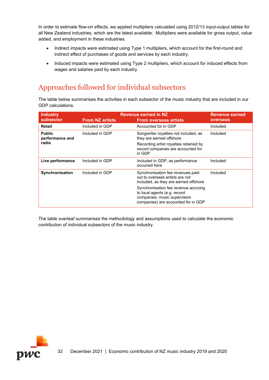In order to estimate flow-on effects, we applied multipliers calculated using 2012/13 input-output tables for all New Zealand industries, which are the latest available. Multipliers were available for gross output, value added, and employment in these industries.

- Indirect impacts were estimated using Type 1 multipliers, which account for the first-round and indirect effect of purchases of goods and services by each industry.
- Induced impacts were estimated using Type 2 multipliers, which account for induced effects from wages and salaries paid by each industry.

## Approaches followed for individual subsectors

The table below summarises the activities in each subsector of the music industry that are included in our GDP calculations.

| <b>Industry</b>                           | <b>Revenue earned in NZ</b> |                                                                                                                                             | Revenue earned |
|-------------------------------------------|-----------------------------|---------------------------------------------------------------------------------------------------------------------------------------------|----------------|
| subsector                                 | <b>From NZ artists</b>      | <b>From overseas artists</b>                                                                                                                | overseas       |
| Retail                                    | Included in GDP             | Accounted for in GDP                                                                                                                        | Included       |
| <b>Public</b><br>performance and<br>radio | Included in GDP             | Songwriter royalties not included, as<br>they are earned offshore                                                                           | Included       |
|                                           |                             | Recording artist royalties retained by<br>record companies are accounted for<br>in GDP                                                      |                |
| Live performance                          | Included in GDP             | Included in GDP, as performance<br>occurred here                                                                                            | Included       |
| Synchronisation                           | Included in GDP             | Synchronisation fee revenues paid<br>out to overseas artists are not<br>included, as they are earned offshore                               | Included       |
|                                           |                             | Synchronisation fee revenue accruing<br>to local agents (e.g. record<br>companies, music supervision<br>companies) are accounted for in GDP |                |

The table overleaf summarises the methodology and assumptions used to calculate the economic contribution of individual subsectors of the music industry.

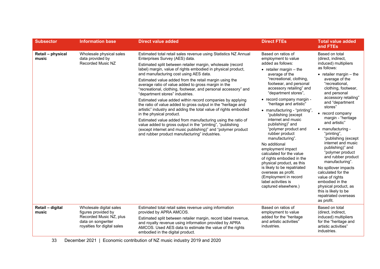| <b>Subsector</b>           | <b>Information base</b>                                                                                                        | <b>Direct value added</b>                                                                                                                                                                                                                                                                                                                                                                                                                                                                                                                                                                                                                                                                                                                                                                                                                                                                                                                                                   | <b>Direct FTEs</b>                                                                                                                                                                                                                                                                                                                                                                                                                                                                                                                                                                                                                                                                                             | <b>Total value added</b><br>and FTEs                                                                                                                                                                                                                                                                                                                                                                                                                                                                                                                                                                                                                     |
|----------------------------|--------------------------------------------------------------------------------------------------------------------------------|-----------------------------------------------------------------------------------------------------------------------------------------------------------------------------------------------------------------------------------------------------------------------------------------------------------------------------------------------------------------------------------------------------------------------------------------------------------------------------------------------------------------------------------------------------------------------------------------------------------------------------------------------------------------------------------------------------------------------------------------------------------------------------------------------------------------------------------------------------------------------------------------------------------------------------------------------------------------------------|----------------------------------------------------------------------------------------------------------------------------------------------------------------------------------------------------------------------------------------------------------------------------------------------------------------------------------------------------------------------------------------------------------------------------------------------------------------------------------------------------------------------------------------------------------------------------------------------------------------------------------------------------------------------------------------------------------------|----------------------------------------------------------------------------------------------------------------------------------------------------------------------------------------------------------------------------------------------------------------------------------------------------------------------------------------------------------------------------------------------------------------------------------------------------------------------------------------------------------------------------------------------------------------------------------------------------------------------------------------------------------|
| Retail - physical<br>music | Wholesale physical sales<br>data provided by<br><b>Recorded Music NZ</b>                                                       | Estimated total retail sales revenue using Statistics NZ Annual<br>Enterprises Survey (AES) data.<br>Estimated split between retailer margin, wholesale (record<br>label) margin, value of rights embodied in physical product,<br>and manufacturing cost using AES data.<br>Estimated value added from the retail margin using the<br>average ratio of value added to gross margin in the<br>"recreational, clothing, footwear, and personal accessory" and<br>"department stores" industries.<br>Estimated value added within record companies by applying<br>the ratio of value added to gross output in the "heritage and<br>artistic" industry and adding the total value of rights embodied<br>in the physical product.<br>Estimated value added from manufacturing using the ratio of<br>value added to gross output in the "printing", "publishing<br>(except internet and music publishing)" and "polymer product<br>and rubber product manufacturing" industries. | Based on ratios of<br>employment to value<br>added as follows:<br>$\bullet$ retailer margin - the<br>average of the<br>"recreational, clothing,<br>footwear, and personal<br>accessory retailing" and<br>"department stores",<br>• record company margin -<br>"heritage and artistic"<br>• manufacturing - "printing",<br>"publishing (except<br>internet and music<br>publishing)" and<br>"polymer product and<br>rubber product<br>manufacturing".<br>No additional<br>employment impact<br>calculated for the value<br>of rights embodied in the<br>physical product, as this<br>is likely to be repatriated<br>overseas as profit.<br>(Employment in record<br>label activities is<br>captured elsewhere.) | Based on total<br>(direct, indirect,<br>induced) multipliers<br>as follows:<br>$\bullet$ retailer margin $-$ the<br>average of the<br>"recreational.<br>clothing, footwear,<br>and personal<br>accessory retailing"<br>and "department<br>stores"<br>• record company<br>margin - "heritage<br>and artistic"<br>• manufacturing -<br>"printing",<br>"publishing (except<br>internet and music<br>publishing)" and<br>"polymer product<br>and rubber product<br>manufacturing".<br>No spillover impacts<br>calculated for the<br>value of rights<br>embodied in the<br>physical product, as<br>this is likely to be<br>repatriated overseas<br>as profit. |
| Retail - digital<br>music  | Wholesale digital sales<br>figures provided by<br>Recorded Music NZ, plus<br>data on songwriter<br>royalties for digital sales | Estimated total retail sales revenue using information<br>provided by APRA AMCOS.<br>Estimated split between retailer margin, record label revenue,<br>and royalty revenue using information provided by APRA<br>AMCOS. Used AES data to estimate the value of the rights<br>embodied in the digital product.                                                                                                                                                                                                                                                                                                                                                                                                                                                                                                                                                                                                                                                               | Based on ratios of<br>employment to value<br>added for the "heritage<br>and artistic activities"<br>industries.                                                                                                                                                                                                                                                                                                                                                                                                                                                                                                                                                                                                | Based on total<br>(direct, indirect,<br>induced) multipliers<br>for the "heritage and<br>artistic activities"<br>industries.                                                                                                                                                                                                                                                                                                                                                                                                                                                                                                                             |

33 December 2021 | Economic contribution of NZ music industry 2019 and 2020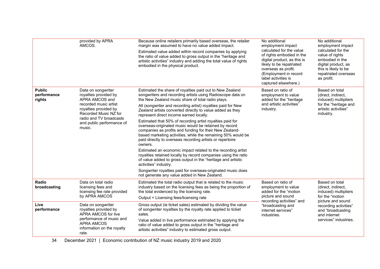|                                        | provided by APRA<br>AMCOS.                                                                                                                                                                                 | Because online retailers primarily based overseas, the retailer<br>margin was assumed to have no value added impact.<br>Estimated value added within record companies by applying<br>the ratio of value added to gross output in the "heritage and<br>artistic activities" industry and adding the total value of rights<br>embodied in the physical product. | No additional<br>employment impact<br>calculated for the value<br>of rights embodied in the<br>digital product, as this is<br>likely to be repatriated<br>overseas as profit.<br>(Employment in record<br>label activities is<br>captured elsewhere.) | No additional<br>employment impact<br>calculated for the<br>value of rights<br>embodied in the<br>digital product, as<br>this is likely to be<br>repatriated overseas<br>as profit.         |
|----------------------------------------|------------------------------------------------------------------------------------------------------------------------------------------------------------------------------------------------------------|---------------------------------------------------------------------------------------------------------------------------------------------------------------------------------------------------------------------------------------------------------------------------------------------------------------------------------------------------------------|-------------------------------------------------------------------------------------------------------------------------------------------------------------------------------------------------------------------------------------------------------|---------------------------------------------------------------------------------------------------------------------------------------------------------------------------------------------|
| <b>Public</b><br>performance<br>rights | Data on songwriter<br>royalties provided by<br>APRA AMCOS and<br>recorded music artist<br>royalties provided by<br>Recorded Music NZ for<br>radio and TV broadcasts<br>and public performance of<br>music. | Estimated the share of royalties paid out to New Zealand<br>songwriters and recording artists using Radioscope data on<br>the New Zealand music share of total radio plays.<br>All (songwriter and recording artist) royalties paid for New<br>Zealand artists converted directly to value added as they<br>represent direct income earned locally.           | Based on ratio of<br>employment to value<br>added for the "heritage<br>and artistic activities"<br>industry.                                                                                                                                          | Based on total<br>(direct, indirect,<br>induced) multipliers<br>for the "heritage and<br>artistic activities"<br>industry.                                                                  |
|                                        |                                                                                                                                                                                                            | Estimated that 50% of recording artist royalties paid for<br>overseas-originated music would be retained by record<br>companies as profits and funding for their New Zealand-<br>based marketing activities, while the remaining 50% would be<br>paid directly to overseas recording artists or repertoire<br>owners.                                         |                                                                                                                                                                                                                                                       |                                                                                                                                                                                             |
|                                        |                                                                                                                                                                                                            | Estimated an economic impact related to the recording artist<br>royalties retained locally by record companies using the ratio<br>of value added to gross output in the "heritage and artistic<br>activities" industry.                                                                                                                                       |                                                                                                                                                                                                                                                       |                                                                                                                                                                                             |
|                                        |                                                                                                                                                                                                            | Songwriter royalties paid for overseas-originated music does<br>not generate any value added in New Zealand.                                                                                                                                                                                                                                                  |                                                                                                                                                                                                                                                       |                                                                                                                                                                                             |
| Radio<br>broadcasting                  | Data on total radio<br>licensing fees and<br>licensing fee rate provided                                                                                                                                   | Estimated the total radio output that is related to the music<br>industry based on the licensing fees as being the proportion of<br>the total evidenced by the licensing rate.                                                                                                                                                                                | Based on ratio of<br>employment to value<br>added for the "motion<br>picture and sound<br>recording activities" and<br>"broadcasting and<br>internet services"<br>industries.                                                                         | Based on total<br>(direct, indirect,<br>induced) multipliers<br>for the "motion<br>picture and sound<br>recording activities"<br>and "broadcasting<br>and internet<br>services" industries. |
|                                        | by APRA AMCOS                                                                                                                                                                                              | Output = Licensing fees/licensing rate                                                                                                                                                                                                                                                                                                                        |                                                                                                                                                                                                                                                       |                                                                                                                                                                                             |
| Live<br>performance                    | Data on songwriter<br>royalties provided by<br>APRA AMCOS for live<br>performance of music and<br><b>APRA AMCOS</b><br>information on the royalty<br>rate.                                                 | Gross output (ie ticket sales) estimated by dividing the value<br>of songwriter royalties by the royalty rate applied to ticket<br>sales.                                                                                                                                                                                                                     |                                                                                                                                                                                                                                                       |                                                                                                                                                                                             |
|                                        |                                                                                                                                                                                                            | Value added in live performance estimated by applying the<br>ratio of value added to gross output in the "heritage and<br>artistic activities" industry to estimated gross output.                                                                                                                                                                            |                                                                                                                                                                                                                                                       |                                                                                                                                                                                             |

34 December 2021 | Economic contribution of NZ music industry 2019 and 2020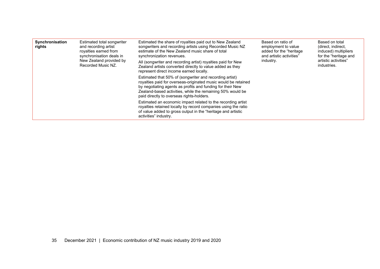| Synchronisation<br>rights | Estimated total songwriter<br>and recording artist<br>royalties earned from<br>synchronisation deals in<br>New Zealand provided by<br>Recorded Music NZ. | Estimated the share of royalties paid out to New Zealand<br>songwriters and recording artists using Recorded Music NZ<br>estimate of the New Zealand music share of total<br>synchronization revenues.<br>All (songwriter and recording artist) royalties paid for New<br>Zealand artists converted directly to value added as they<br>represent direct income earned locally. | Based on ratio of<br>employment to value<br>added for the "heritage"<br>and artistic activities"<br>industry. | Based on total<br>(direct, indirect,<br>induced) multipliers<br>for the "heritage and<br>artistic activities"<br>industries. |
|---------------------------|----------------------------------------------------------------------------------------------------------------------------------------------------------|--------------------------------------------------------------------------------------------------------------------------------------------------------------------------------------------------------------------------------------------------------------------------------------------------------------------------------------------------------------------------------|---------------------------------------------------------------------------------------------------------------|------------------------------------------------------------------------------------------------------------------------------|
|                           |                                                                                                                                                          | Estimated that 50% of (songwriter and recording artist)<br>royalties paid for overseas-originated music would be retained<br>by negotiating agents as profits and funding for their New<br>Zealand-based activities, while the remaining 50% would be<br>paid directly to overseas rights-holders.                                                                             |                                                                                                               |                                                                                                                              |
|                           |                                                                                                                                                          | Estimated an economic impact related to the recording artist<br>royalties retained locally by record companies using the ratio<br>of value added to gross output in the "heritage and artistic<br>activities" industry.                                                                                                                                                        |                                                                                                               |                                                                                                                              |